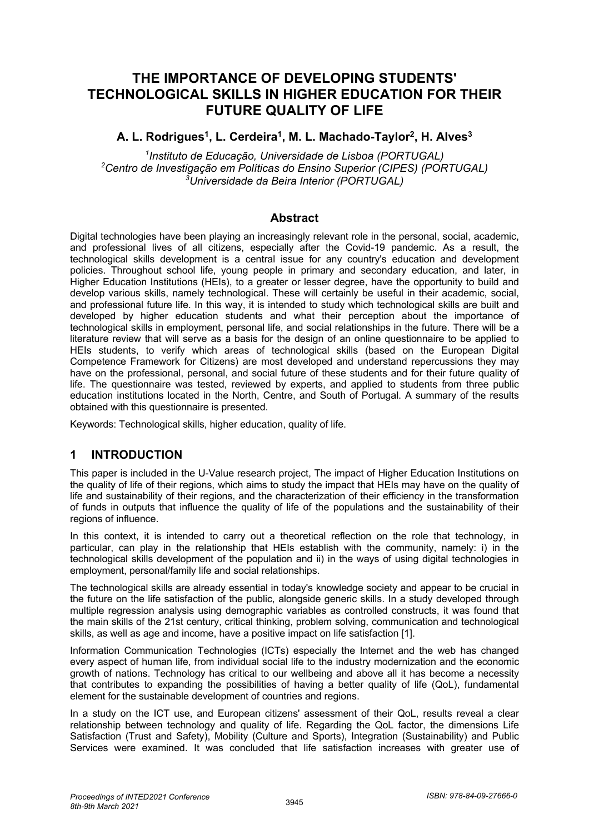# **THE IMPORTANCE OF DEVELOPING STUDENTS' TECHNOLOGICAL SKILLS IN HIGHER EDUCATION FOR THEIR FUTURE QUALITY OF LIFE**

### **A. L. Rodrigues1, L. Cerdeira1, M. L. Machado-Taylor2, H. Alves3**

*1 Instituto de Educação, Universidade de Lisboa (PORTUGAL) 2 Centro de Investigação em Políticas do Ensino Superior (CIPES) (PORTUGAL) 3 Universidade da Beira Interior (PORTUGAL)* 

#### **Abstract**

Digital technologies have been playing an increasingly relevant role in the personal, social, academic, and professional lives of all citizens, especially after the Covid-19 pandemic. As a result, the technological skills development is a central issue for any country's education and development policies. Throughout school life, young people in primary and secondary education, and later, in Higher Education Institutions (HEIs), to a greater or lesser degree, have the opportunity to build and develop various skills, namely technological. These will certainly be useful in their academic, social, and professional future life. In this way, it is intended to study which technological skills are built and developed by higher education students and what their perception about the importance of technological skills in employment, personal life, and social relationships in the future. There will be a literature review that will serve as a basis for the design of an online questionnaire to be applied to HEIs students, to verify which areas of technological skills (based on the European Digital Competence Framework for Citizens) are most developed and understand repercussions they may have on the professional, personal, and social future of these students and for their future quality of life. The questionnaire was tested, reviewed by experts, and applied to students from three public education institutions located in the North, Centre, and South of Portugal. A summary of the results obtained with this questionnaire is presented.

Keywords: Technological skills, higher education, quality of life.

### **1 INTRODUCTION**

This paper is included in the U-Value research project, The impact of Higher Education Institutions on the quality of life of their regions, which aims to study the impact that HEIs may have on the quality of life and sustainability of their regions, and the characterization of their efficiency in the transformation of funds in outputs that influence the quality of life of the populations and the sustainability of their regions of influence.

In this context, it is intended to carry out a theoretical reflection on the role that technology, in particular, can play in the relationship that HEIs establish with the community, namely: i) in the technological skills development of the population and ii) in the ways of using digital technologies in employment, personal/family life and social relationships.

The technological skills are already essential in today's knowledge society and appear to be crucial in the future on the life satisfaction of the public, alongside generic skills. In a study developed through multiple regression analysis using demographic variables as controlled constructs, it was found that the main skills of the 21st century, critical thinking, problem solving, communication and technological skills, as well as age and income, have a positive impact on life satisfaction [1].

Information Communication Technologies (ICTs) especially the Internet and the web has changed every aspect of human life, from individual social life to the industry modernization and the economic growth of nations. Technology has critical to our wellbeing and above all it has become a necessity that contributes to expanding the possibilities of having a better quality of life (QoL), fundamental element for the sustainable development of countries and regions.

In a study on the ICT use, and European citizens' assessment of their QoL, results reveal a clear relationship between technology and quality of life. Regarding the QoL factor, the dimensions Life Satisfaction (Trust and Safety), Mobility (Culture and Sports), Integration (Sustainability) and Public Services were examined. It was concluded that life satisfaction increases with greater use of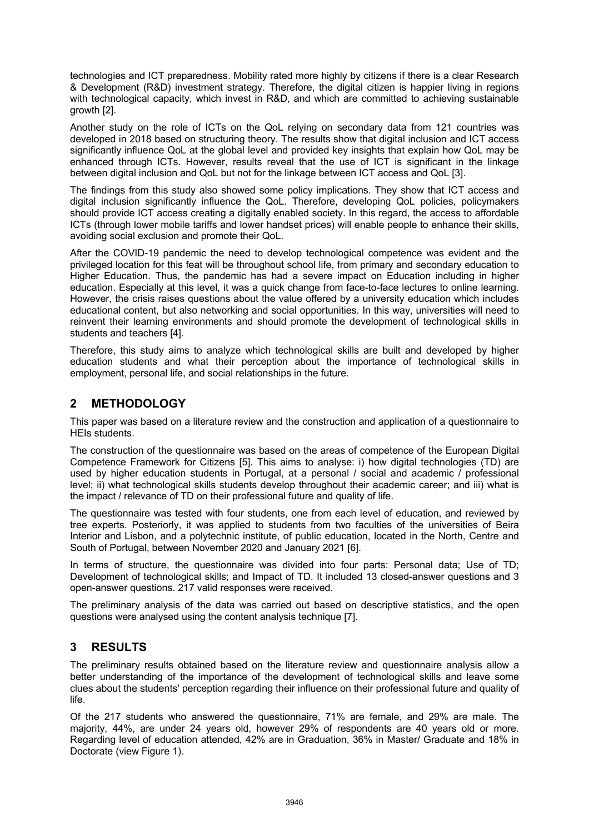technologies and ICT preparedness. Mobility rated more highly by citizens if there is a clear Research & Development (R&D) investment strategy. Therefore, the digital citizen is happier living in regions with technological capacity, which invest in R&D, and which are committed to achieving sustainable growth [2].

Another study on the role of ICTs on the QoL relying on secondary data from 121 countries was developed in 2018 based on structuring theory. The results show that digital inclusion and ICT access significantly influence QoL at the global level and provided key insights that explain how QoL may be enhanced through ICTs. However, results reveal that the use of ICT is significant in the linkage between digital inclusion and QoL but not for the linkage between ICT access and QoL [3].

The findings from this study also showed some policy implications. They show that ICT access and digital inclusion significantly influence the QoL. Therefore, developing QoL policies, policymakers should provide ICT access creating a digitally enabled society. In this regard, the access to affordable ICTs (through lower mobile tariffs and lower handset prices) will enable people to enhance their skills, avoiding social exclusion and promote their QoL.

After the COVID-19 pandemic the need to develop technological competence was evident and the privileged location for this feat will be throughout school life, from primary and secondary education to Higher Education. Thus, the pandemic has had a severe impact on Education including in higher education. Especially at this level, it was a quick change from face-to-face lectures to online learning. However, the crisis raises questions about the value offered by a university education which includes educational content, but also networking and social opportunities. In this way, universities will need to reinvent their learning environments and should promote the development of technological skills in students and teachers [4].

Therefore, this study aims to analyze which technological skills are built and developed by higher education students and what their perception about the importance of technological skills in employment, personal life, and social relationships in the future.

### **2 METHODOLOGY**

This paper was based on a literature review and the construction and application of a questionnaire to HEIs students.

The construction of the questionnaire was based on the areas of competence of the European Digital Competence Framework for Citizens [5]. This aims to analyse: i) how digital technologies (TD) are used by higher education students in Portugal, at a personal / social and academic / professional level; ii) what technological skills students develop throughout their academic career; and iii) what is the impact / relevance of TD on their professional future and quality of life.

The questionnaire was tested with four students, one from each level of education, and reviewed by tree experts. Posteriorly, it was applied to students from two faculties of the universities of Beira Interior and Lisbon, and a polytechnic institute, of public education, located in the North, Centre and South of Portugal, between November 2020 and January 2021 [6].

In terms of structure, the questionnaire was divided into four parts: Personal data; Use of TD; Development of technological skills; and Impact of TD. It included 13 closed-answer questions and 3 open-answer questions. 217 valid responses were received.

The preliminary analysis of the data was carried out based on descriptive statistics, and the open questions were analysed using the content analysis technique [7].

### **3 RESULTS**

The preliminary results obtained based on the literature review and questionnaire analysis allow a better understanding of the importance of the development of technological skills and leave some clues about the students' perception regarding their influence on their professional future and quality of life.

Of the 217 students who answered the questionnaire, 71% are female, and 29% are male. The majority, 44%, are under 24 years old, however 29% of respondents are 40 years old or more. Regarding level of education attended, 42% are in Graduation, 36% in Master/ Graduate and 18% in Doctorate (view Figure 1).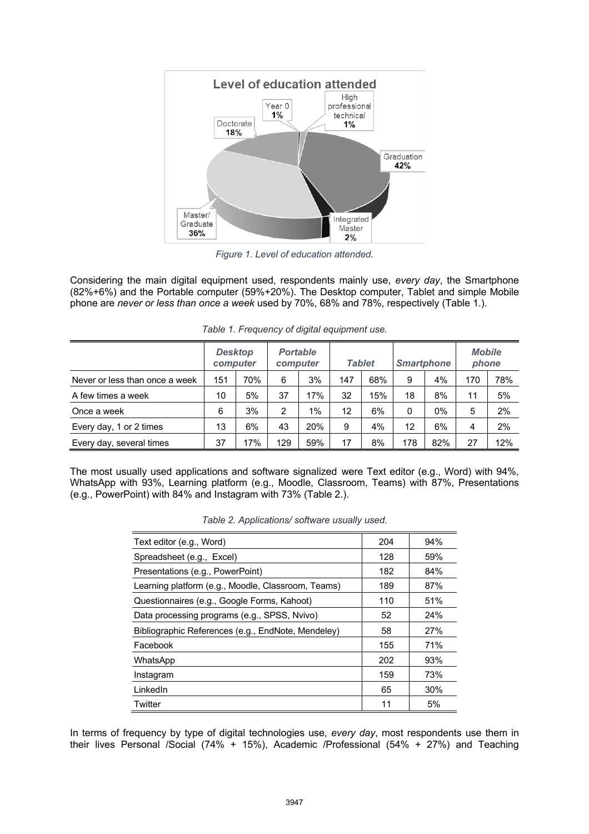

*Figure 1. Level of education attended.*

Considering the main digital equipment used, respondents mainly use, *every day*, the Smartphone (82%+6%) and the Portable computer (59%+20%). The Desktop computer, Tablet and simple Mobile phone are *never or less than once a week* used by 70%, 68% and 78%, respectively (Table 1.).

|                                | <b>Desktop</b><br>computer |     | <b>Portable</b><br>computer |     | <b>Tablet</b> |     | <b>Smartphone</b> |     | <b>Mobile</b><br>phone |     |
|--------------------------------|----------------------------|-----|-----------------------------|-----|---------------|-----|-------------------|-----|------------------------|-----|
| Never or less than once a week | 151                        | 70% | 6                           | 3%  | 147           | 68% | 9                 | 4%  | 170                    | 78% |
| A few times a week             | 10                         | 5%  | 37                          | 17% | 32            | 15% | 18                | 8%  | 11                     | 5%  |
| Once a week                    | 6                          | 3%  | 2                           | 1%  | 12            | 6%  | 0                 | 0%  | 5                      | 2%  |
| Every day, 1 or 2 times        | 13                         | 6%  | 43                          | 20% | 9             | 4%  | 12                | 6%  | 4                      | 2%  |
| Every day, several times       | 37                         | 17% | 129                         | 59% | 17            | 8%  | 178               | 82% | 27                     | 12% |

*Table 1. Frequency of digital equipment use.* 

The most usually used applications and software signalized were Text editor (e.g., Word) with 94%, WhatsApp with 93%, Learning platform (e.g., Moodle, Classroom, Teams) with 87%, Presentations (e.g., PowerPoint) with 84% and Instagram with 73% (Table 2.).

| Table 2. Applications/ software usually used. |  |
|-----------------------------------------------|--|
|                                               |  |

| Text editor (e.g., Word)                           | 204 | 94% |
|----------------------------------------------------|-----|-----|
| Spreadsheet (e.g., Excel)                          | 128 | 59% |
| Presentations (e.g., PowerPoint)                   | 182 | 84% |
| Learning platform (e.g., Moodle, Classroom, Teams) | 189 | 87% |
| Questionnaires (e.g., Google Forms, Kahoot)        | 110 | 51% |
| Data processing programs (e.g., SPSS, Nvivo)       | 52  | 24% |
| Bibliographic References (e.g., EndNote, Mendeley) | 58  | 27% |
| Facebook                                           | 155 | 71% |
| WhatsApp                                           | 202 | 93% |
| Instagram                                          | 159 | 73% |
| LinkedIn                                           | 65  | 30% |
| Twitter                                            | 11  | 5%  |

In terms of frequency by type of digital technologies use, *every day*, most respondents use them in their lives Personal /Social (74% + 15%), Academic /Professional (54% + 27%) and Teaching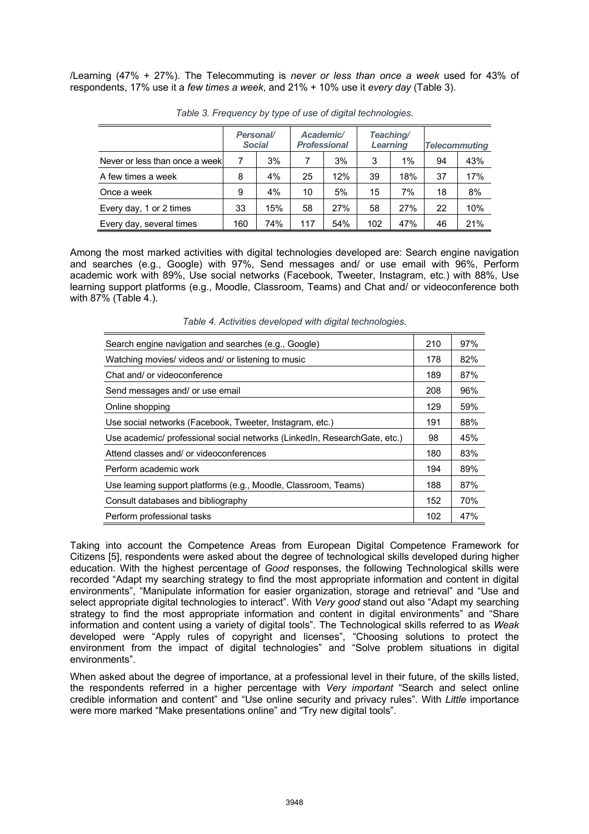/Learning (47% + 27%). The Telecommuting is *never or less than once a week* used for 43% of respondents, 17% use it a *few times a week*, and 21% + 10% use it *every day* (Table 3).

|                                | Personal/<br><b>Social</b> |     | Academic/<br><b>Professional</b> |     | Learning | Teaching/ | <b>Telecommuting</b> |     |
|--------------------------------|----------------------------|-----|----------------------------------|-----|----------|-----------|----------------------|-----|
| Never or less than once a week |                            | 3%  | $\overline{7}$                   | 3%  | 3        | 1%        | 94                   | 43% |
| A few times a week             | 8                          | 4%  | 25                               | 12% | 39       | 18%       | 37                   | 17% |
| Once a week                    | 9                          | 4%  | 10                               | 5%  | 15       | 7%        | 18                   | 8%  |
| Every day, 1 or 2 times        | 33                         | 15% | 58                               | 27% | 58       | 27%       | 22                   | 10% |
| Every day, several times       | 160                        | 74% | 117                              | 54% | 102      | 47%       | 46                   | 21% |

*Table 3. Frequency by type of use of digital technologies.* 

Among the most marked activities with digital technologies developed are: Search engine navigation and searches (e.g., Google) with 97%, Send messages and/ or use email with 96%, Perform academic work with 89%, Use social networks (Facebook, Tweeter, Instagram, etc.) with 88%, Use learning support platforms (e.g., Moodle, Classroom, Teams) and Chat and/ or videoconference both with 87% (Table 4.).

| Search engine navigation and searches (e.g., Google)                      | 210 | 97% |
|---------------------------------------------------------------------------|-----|-----|
| Watching movies/ videos and/ or listening to music                        | 178 | 82% |
| Chat and/ or videoconference                                              | 189 | 87% |
| Send messages and/ or use email                                           | 208 | 96% |
| Online shopping                                                           | 129 | 59% |
| Use social networks (Facebook, Tweeter, Instagram, etc.)                  | 191 | 88% |
| Use academic/ professional social networks (LinkedIn, ResearchGate, etc.) | 98  | 45% |
| Attend classes and/ or videoconferences                                   | 180 | 83% |
| Perform academic work                                                     | 194 | 89% |
| Use learning support platforms (e.g., Moodle, Classroom, Teams)           | 188 | 87% |
| Consult databases and bibliography                                        | 152 | 70% |
| Perform professional tasks                                                | 102 | 47% |

*Table 4. Activities developed with digital technologies.*

Taking into account the Competence Areas from European Digital Competence Framework for Citizens [5], respondents were asked about the degree of technological skills developed during higher education. With the highest percentage of *Good* responses, the following Technological skills were recorded "Adapt my searching strategy to find the most appropriate information and content in digital environments", "Manipulate information for easier organization, storage and retrieval" and "Use and select appropriate digital technologies to interact". With *Very good* stand out also "Adapt my searching strategy to find the most appropriate information and content in digital environments" and "Share information and content using a variety of digital tools". The Technological skills referred to as *Weak* developed were "Apply rules of copyright and licenses", "Choosing solutions to protect the environment from the impact of digital technologies" and "Solve problem situations in digital environments".

When asked about the degree of importance, at a professional level in their future, of the skills listed, the respondents referred in a higher percentage with *Very important* "Search and select online credible information and content" and "Use online security and privacy rules". With *Little* importance were more marked "Make presentations online" and "Try new digital tools".